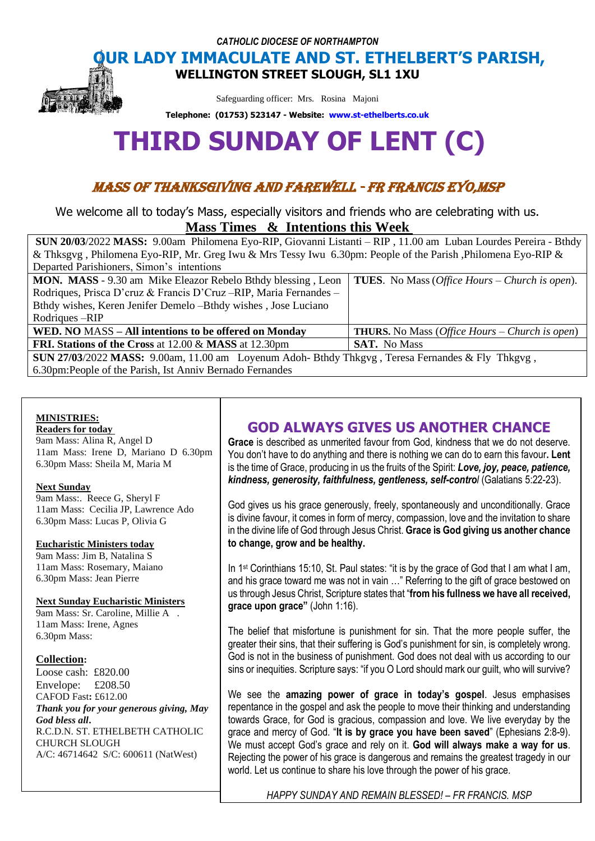*CATHOLIC DIOCESE OF NORTHAMPTON*

# **OUR LADY IMMACULATE AND ST. ETHELBERT'S PARISH,**

**WELLINGTON STREET SLOUGH, SL1 1XU** 

Safeguarding officer: Mrs. Rosina Majoni

**Telephone: (01753) 523147 - Website: [www.st-ethelberts.co.uk](http://www.st-ethelberts.co.uk/)**

# **THIRD SUNDAY OF LENT (C)**

## MASS OF THANKSGIVING AND FAREWELL - FR FRANCIS EYO,MSP

We welcome all to today's Mass, especially visitors and friends who are celebrating with us. **Mass Times & Intentions this Week** 

| SUN 20/03/2022 MASS: 9.00am Philomena Eyo-RIP, Giovanni Listanti – RIP, 11.00 am Luban Lourdes Pereira - Bthdy |                                                                |
|----------------------------------------------------------------------------------------------------------------|----------------------------------------------------------------|
| & Thksgyg, Philomena Eyo-RIP, Mr. Greg Iwu & Mrs Tessy Iwu 6.30pm: People of the Parish, Philomena Eyo-RIP &   |                                                                |
| Departed Parishioners, Simon's intentions                                                                      |                                                                |
| <b>MON. MASS</b> - 9.30 am Mike Eleazor Rebelo Bthdy blessing, Leon                                            | <b>TUES.</b> No Mass ( <i>Office Hours – Church is open</i> ). |
| Rodriques, Prisca D'eruz & Francis D'Cruz-RIP, Maria Fernandes -                                               |                                                                |
| Bthdy wishes, Keren Jenifer Demelo --Bthdy wishes, Jose Luciano                                                |                                                                |
| Rodriques – RIP                                                                                                |                                                                |
| WED. NO MASS – All intentions to be offered on Monday                                                          | <b>THURS.</b> No Mass ( <i>Office Hours – Church is open</i> ) |
| <b>FRI. Stations of the Cross at 12.00 &amp; MASS at 12.30pm</b>                                               | <b>SAT.</b> No Mass                                            |
| SUN 27/03/2022 MASS: 9.00am, 11.00 am Loyenum Adoh- Bthdy Thkgyg, Teresa Fernandes & Fly Thkgyg,               |                                                                |
| 6.30pm: People of the Parish, Ist Anniv Bernado Fernandes                                                      |                                                                |

#### **MINISTRIES:**

#### **Readers for today**

9am Mass: Alina R, Angel D 11am Mass: Irene D, Mariano D 6.30pm 6.30pm Mass: Sheila M, Maria M

#### **Next Sunday**

9am Mass:. Reece G, Sheryl F 11am Mass: Cecilia JP, Lawrence Ado 6.30pm Mass: Lucas P, Olivia G

#### **Eucharistic Ministers today**

9am Mass: Jim B, Natalina S 11am Mass: Rosemary, Maiano 6.30pm Mass: Jean Pierre

#### **Next Sunday Eucharistic Ministers**

9am Mass: Sr. Caroline, Millie A . 11am Mass: Irene, Agnes 6.30pm Mass:

#### **Collection:**

Loose cash: £820.00 Envelope: £208.50 CAFOD Fast**:** £612.00 *Thank you for your generous giving, May God bless all***.**  R.C.D.N. ST. ETHELBETH CATHOLIC CHURCH SLOUGH A/C: 46714642 S/C: 600611 (NatWest)

### **GOD ALWAYS GIVES US ANOTHER CHANCE**

**Grace** is described as unmerited favour from God, kindness that we do not deserve. You don't have to do anything and there is nothing we can do to earn this favour**. Lent** is the time of Grace, producing in us the fruits of the Spirit: *Love, joy, peace, patience, kindness, generosity, faithfulness, gentleness, self-control* (Galatians 5:22-23).

God gives us his grace generously, freely, spontaneously and unconditionally. Grace is divine favour, it comes in form of mercy, compassion, love and the invitation to share in the divine life of God through Jesus Christ. **Grace is God giving us another chance to change, grow and be healthy.**

In 1<sup>st</sup> Corinthians 15:10, St. Paul states: "it is by the grace of God that I am what I am, and his grace toward me was not in vain …" Referring to the gift of grace bestowed on us through Jesus Christ, Scripture states that "**from his fullness we have all received, grace upon grace"** (John 1:16).

The belief that misfortune is punishment for sin. That the more people suffer, the greater their sins, that their suffering is God's punishment for sin, is completely wrong. God is not in the business of punishment. God does not deal with us according to our sins or inequities. Scripture says: "if you O Lord should mark our guilt, who will survive?

We see the **amazing power of grace in today's gospel**. Jesus emphasises repentance in the gospel and ask the people to move their thinking and understanding towards Grace, for God is gracious, compassion and love. We live everyday by the grace and mercy of God. "**It is by grace you have been saved**" (Ephesians 2:8-9). We must accept God's grace and rely on it. **God will always make a way for us**. Rejecting the power of his grace is dangerous and remains the greatest tragedy in our world. Let us continue to share his love through the power of his grace.

*HAPPY SUNDAY AND REMAIN BLESSED! – FR FRANCIS, MSP*